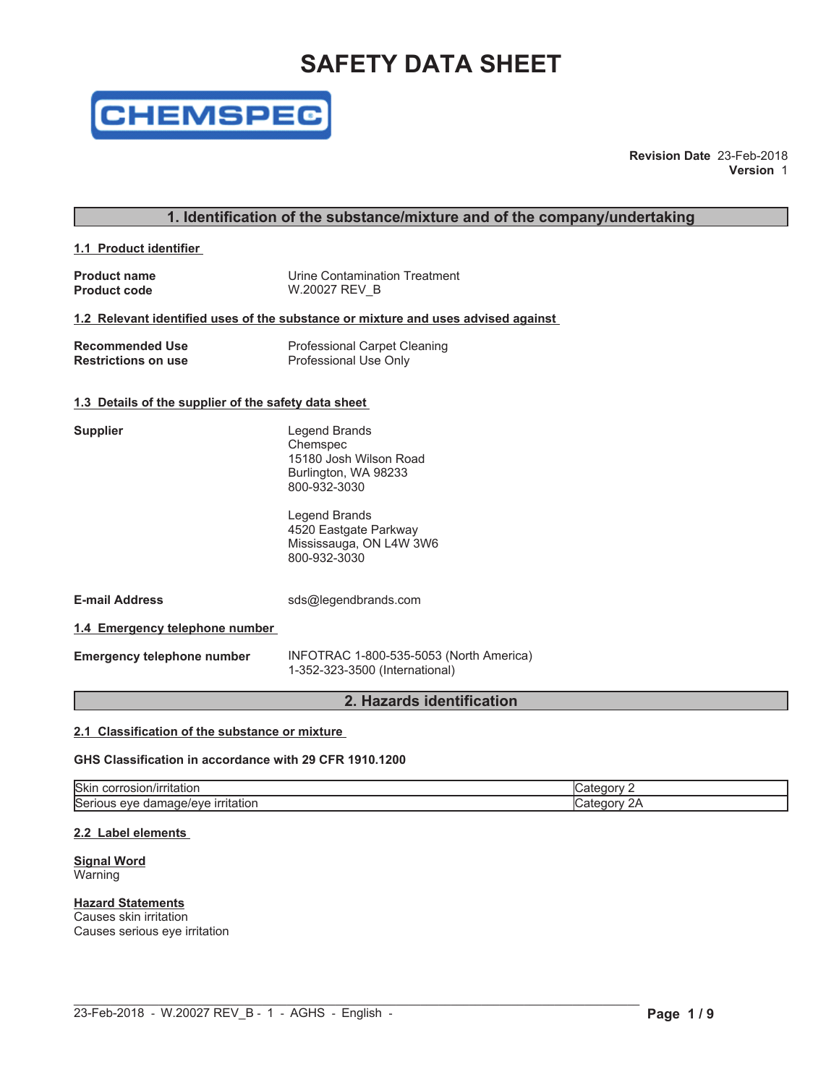# **SAFETY DATA SHEET**



**Revision Date** 23-Feb-2018 **Version** 1

### **1. Identification of the substance/mixture and of the company/undertaking**

**1.1 Product identifier**

| <b>Product name</b> | Urine Contamination Treatment |
|---------------------|-------------------------------|
| <b>Product code</b> | W.20027 REV B                 |

#### **1.2 Relevant identified uses of the substance or mixture and uses advised against**

| <b>Recommended Use</b>     | <b>Professional Carpet Cleaning</b> |
|----------------------------|-------------------------------------|
| <b>Restrictions on use</b> | Professional Use Only               |

#### **1.3 Details of the supplier of the safety data sheet**

| Supplier                          | Legend Brands<br>Chemspec<br>15180 Josh Wilson Road<br>Burlington, WA 98233<br>800-932-3030 |
|-----------------------------------|---------------------------------------------------------------------------------------------|
|                                   | Legend Brands<br>4520 Eastgate Parkway<br>Mississauga, ON L4W 3W6<br>800-932-3030           |
| <b>E-mail Address</b>             | sds@legendbrands.com                                                                        |
| 1.4 Emergency telephone number    |                                                                                             |
| <b>Emergency telephone number</b> | INFOTRAC 1-800-535-5053 (North America)<br>1-352-323-3500 (International)                   |

### **2. Hazards identification**

#### **2.1 Classification of the substance or mixture**

#### **GHS Classification in accordance with 29 CFR 1910.1200**

| <b>Skir</b><br>Titation<br>ാന്ന്<br>וטוכט                                                 |    |
|-------------------------------------------------------------------------------------------|----|
| $\sim$<br><b>Links</b><br>. itation<br><b>ISATI</b><br>۱۳۳۷۰.<br>eve<br><br>ाता<br>…idu⊢. | -- |

 $\mathcal{L}_\mathcal{L} = \mathcal{L}_\mathcal{L}$ 

#### **2.2 Label elements**

**Signal Word** Warning

#### **Hazard Statements** Causes skin irritation

Causes serious eye irritation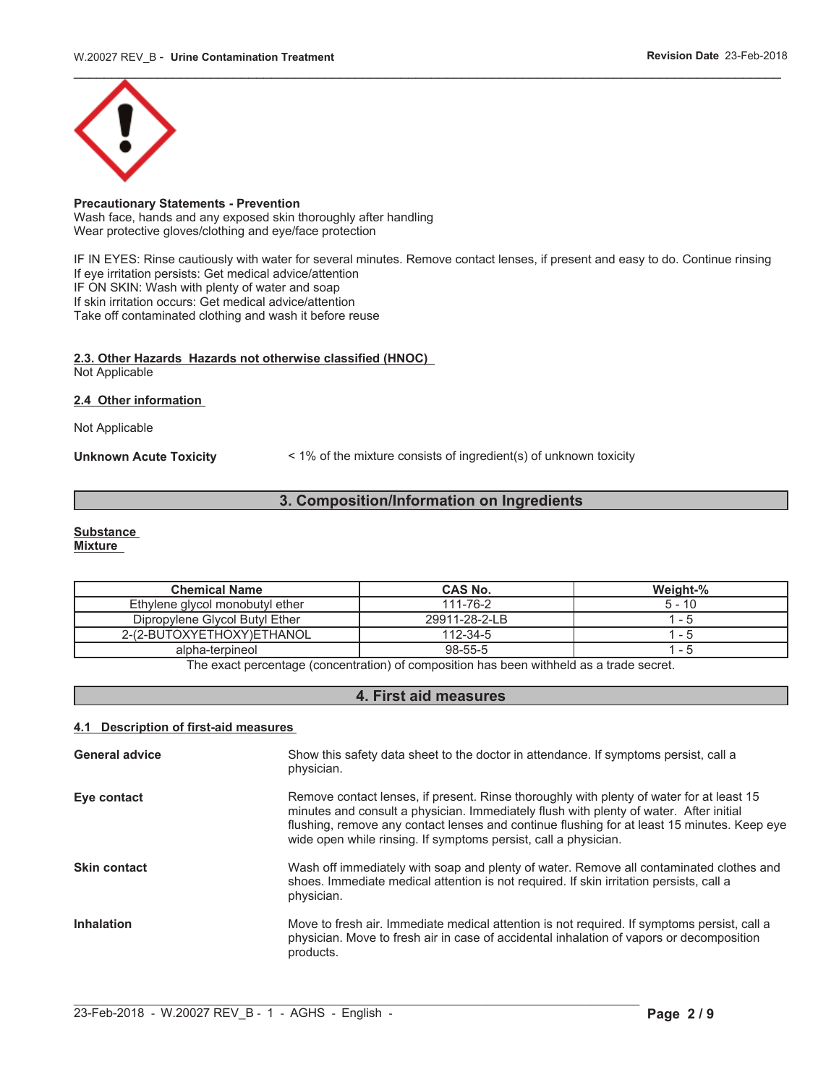

### **Precautionary Statements - Prevention**

Wash face, hands and any exposed skin thoroughly after handling Wear protective gloves/clothing and eye/face protection

IF IN EYES: Rinse cautiously with water for several minutes. Remove contact lenses, if present and easy to do. Continue rinsing If eye irritation persists: Get medical advice/attention IF ON SKIN: Wash with plenty of water and soap If skin irritation occurs: Get medical advice/attention Take off contaminated clothing and wash it before reuse

#### **2.3. Other Hazards Hazards not otherwise classified (HNOC)** Not Applicable

#### **2.4 Other information**

Not Applicable

**Unknown Acute Toxicity** < 1% of the mixture consists of ingredient(s) of unknown toxicity

## **3. Composition/Information on Ingredients**

#### **Substance**

**Mixture**

| <b>Chemical Name</b>            | <b>CAS No.</b> | Weight-% |
|---------------------------------|----------------|----------|
| Ethylene glycol monobutyl ether | 111-76-2       | $5 - 10$ |
| Dipropylene Glycol Butyl Ether  | 29911-28-2-LB  | - 5      |
| 2-(2-BUTOXYETHOXY)ETHANOL       | 112-34-5       | - 5      |
| alpha-terpineol                 | 98-55-5        | - 5      |

The exact percentage (concentration) of composition has been withheld as a trade secret.

### **4. First aid measures**

#### **4.1 Description of first-aid measures**

| <b>General advice</b> | Show this safety data sheet to the doctor in attendance. If symptoms persist, call a<br>physician.                                                                                                                                                                                                                                                   |
|-----------------------|------------------------------------------------------------------------------------------------------------------------------------------------------------------------------------------------------------------------------------------------------------------------------------------------------------------------------------------------------|
| Eye contact           | Remove contact lenses, if present. Rinse thoroughly with plenty of water for at least 15<br>minutes and consult a physician. Immediately flush with plenty of water. After initial<br>flushing, remove any contact lenses and continue flushing for at least 15 minutes. Keep eye<br>wide open while rinsing. If symptoms persist, call a physician. |
| <b>Skin contact</b>   | Wash off immediately with soap and plenty of water. Remove all contaminated clothes and<br>shoes. Immediate medical attention is not required. If skin irritation persists, call a<br>physician.                                                                                                                                                     |
| <b>Inhalation</b>     | Move to fresh air. Immediate medical attention is not required. If symptoms persist, call a<br>physician. Move to fresh air in case of accidental inhalation of vapors or decomposition<br>products.                                                                                                                                                 |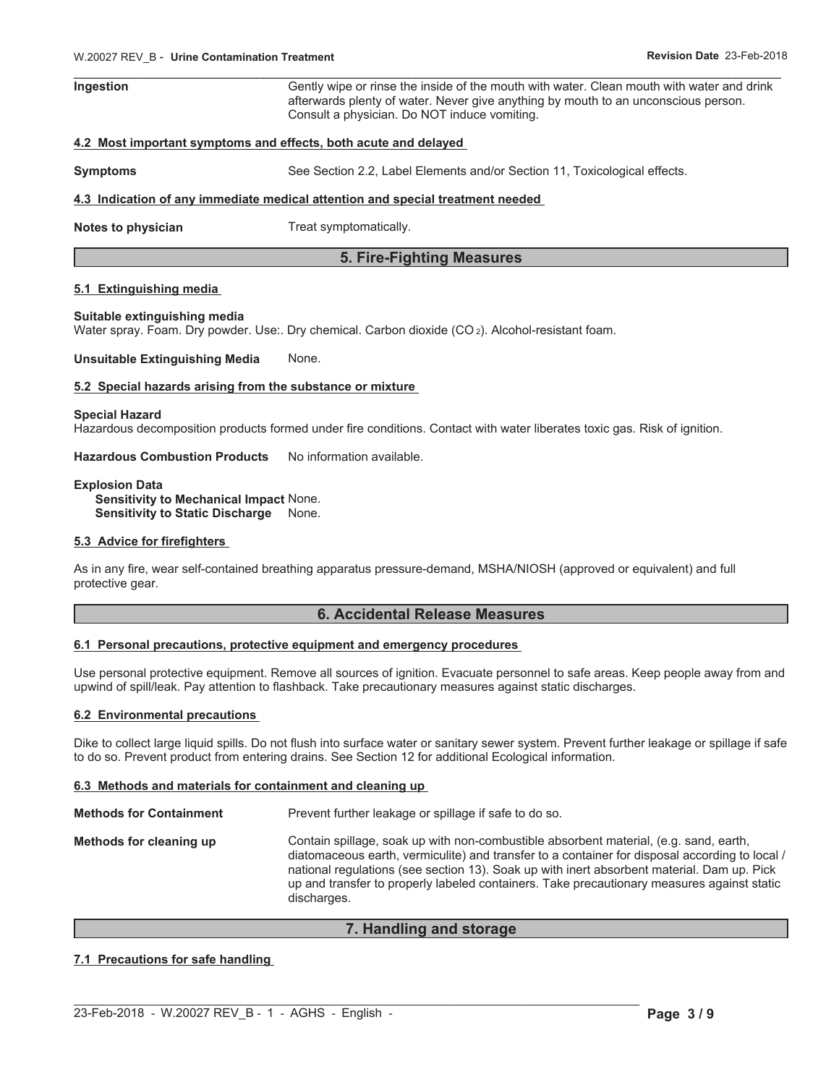| Ingestion | Gently wipe or rinse the inside of the mouth with water. Clean mouth with water and drink |
|-----------|-------------------------------------------------------------------------------------------|
|           | afterwards plenty of water. Never give anything by mouth to an unconscious person.        |
|           | Consult a physician. Do NOT induce vomiting.                                              |

#### **4.2 Most important symptoms and effects, both acute and delayed**

**Symptoms** See Section 2.2, Label Elements and/or Section 11, Toxicological effects.

#### **4.3 Indication of any immediate medical attention and special treatment needed**

**Notes to physician** Treat symptomatically.

### **5. Fire-Fighting Measures**

#### **5.1 Extinguishing media**

#### **Suitable extinguishing media**

Water spray. Foam. Dry powder. Use:. Dry chemical. Carbon dioxide (CO2). Alcohol-resistant foam.

**Unsuitable Extinguishing Media** None.

#### **5.2 Special hazards arising from the substance or mixture**

#### **Special Hazard**

Hazardous decomposition products formed under fire conditions. Contact with water liberates toxic gas. Risk of ignition.

**Hazardous Combustion Products** No information available.

#### **Explosion Data**

**Sensitivity to Mechanical Impact** None. **Sensitivity to Static Discharge** None.

#### **5.3 Advice for firefighters**

As in any fire, wear self-contained breathing apparatus pressure-demand, MSHA/NIOSH (approved or equivalent) and full protective gear.

### **6. Accidental Release Measures**

#### **6.1 Personal precautions, protective equipment and emergency procedures**

Use personal protective equipment. Remove all sources of ignition. Evacuate personnel to safe areas. Keep people away from and upwind of spill/leak. Pay attention to flashback. Take precautionary measures against static discharges.

#### **6.2 Environmental precautions**

Dike to collect large liquid spills. Do not flush into surface water or sanitary sewer system. Prevent further leakage or spillage if safe to do so. Prevent product from entering drains. See Section 12 for additional Ecological information.

#### **6.3 Methods and materials for containment and cleaning up**

**Methods for Containment** Prevent further leakage or spillage if safe to do so. **Methods for cleaning up** Contain spillage, soak up with non-combustible absorbent material, (e.g. sand, earth, diatomaceous earth, vermiculite) and transfer to a container for disposal according to local / national regulations (see section 13). Soak up with inert absorbent material. Dam up. Pick up and transfer to properly labeled containers. Take precautionary measures against static discharges.

#### **7. Handling and storage**

 $\mathcal{L}_\mathcal{L} = \mathcal{L}_\mathcal{L}$ 

### **7.1 Precautions for safe handling**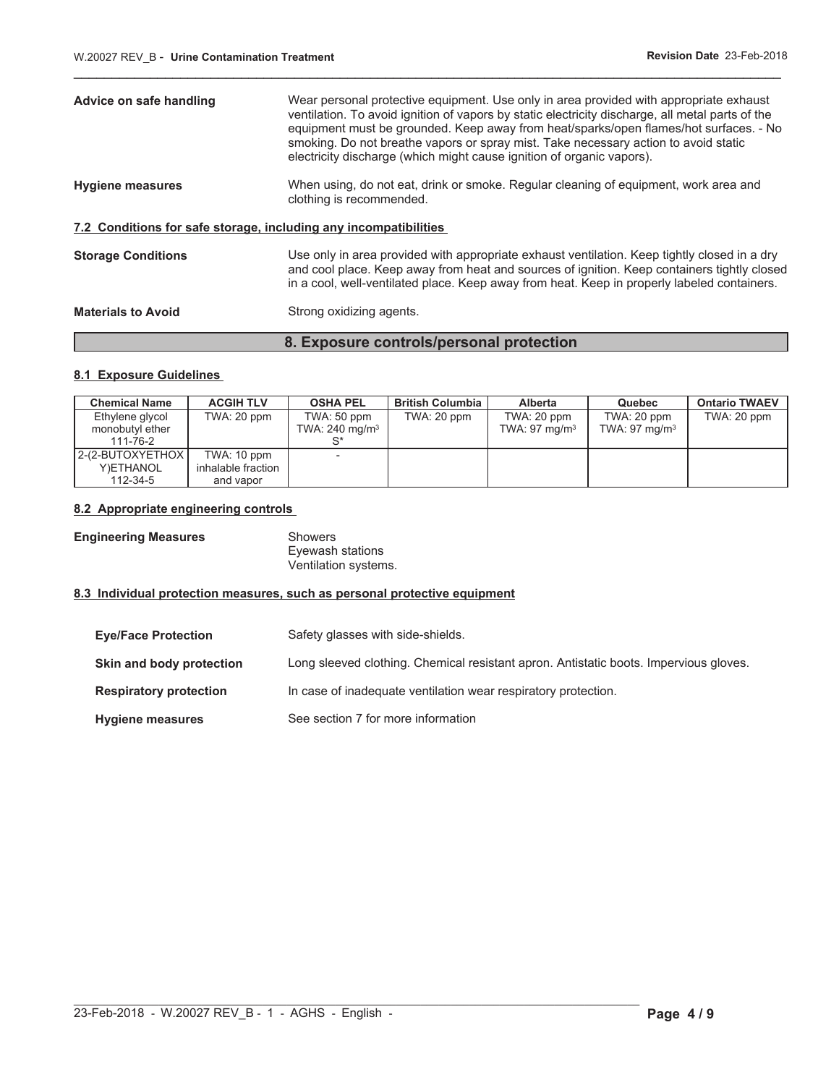| Advice on safe handling                                          | Wear personal protective equipment. Use only in area provided with appropriate exhaust<br>ventilation. To avoid ignition of vapors by static electricity discharge, all metal parts of the<br>equipment must be grounded. Keep away from heat/sparks/open flames/hot surfaces. - No<br>smoking. Do not breathe vapors or spray mist. Take necessary action to avoid static<br>electricity discharge (which might cause ignition of organic vapors). |
|------------------------------------------------------------------|-----------------------------------------------------------------------------------------------------------------------------------------------------------------------------------------------------------------------------------------------------------------------------------------------------------------------------------------------------------------------------------------------------------------------------------------------------|
| <b>Hygiene measures</b>                                          | When using, do not eat, drink or smoke. Regular cleaning of equipment, work area and<br>clothing is recommended.                                                                                                                                                                                                                                                                                                                                    |
| 7.2 Conditions for safe storage, including any incompatibilities |                                                                                                                                                                                                                                                                                                                                                                                                                                                     |
| <b>Storage Conditions</b>                                        | Use only in area provided with appropriate exhaust ventilation. Keep tightly closed in a dry<br>and cool place. Keep away from heat and sources of ignition. Keep containers tightly closed<br>in a cool, well-ventilated place. Keep away from heat. Keep in properly labeled containers.                                                                                                                                                          |
| <b>Materials to Avoid</b>                                        | Strong oxidizing agents.                                                                                                                                                                                                                                                                                                                                                                                                                            |

\_\_\_\_\_\_\_\_\_\_\_\_\_\_\_\_\_\_\_\_\_\_\_\_\_\_\_\_\_\_\_\_\_\_\_\_\_\_\_\_\_\_\_\_\_\_\_\_\_\_\_\_\_\_\_\_\_\_\_\_\_\_\_\_\_\_\_\_\_\_\_\_\_\_\_\_\_\_\_\_\_\_\_\_\_\_\_\_\_\_\_\_\_

## **8.1 Exposure Guidelines**

| <b>Chemical Name</b> | <b>ACGIH TLV</b>   | <b>OSHA PEL</b>           | <b>British Columbia</b> | <b>Alberta</b>           | Quebec                   | <b>Ontario TWAEV</b> |
|----------------------|--------------------|---------------------------|-------------------------|--------------------------|--------------------------|----------------------|
| Ethylene glycol      | TWA: 20 ppm        | TWA: 50 ppm               | TWA: 20 ppm             | TWA: 20 ppm              | TWA: 20 ppm              | TWA: 20 ppm          |
| monobutyl ether      |                    | TWA: $240 \text{ mg/m}^3$ |                         | TWA: $97 \text{ mg/m}^3$ | TWA: $97 \text{ mg/m}^3$ |                      |
| 111-76-2             |                    |                           |                         |                          |                          |                      |
| 2-(2-BUTOXYETHOX I   | TWA: 10 ppm        |                           |                         |                          |                          |                      |
| Y)ETHANOL            | inhalable fraction |                           |                         |                          |                          |                      |
| 112-34-5             | and vapor          |                           |                         |                          |                          |                      |

**8. Exposure controls/personal protection**

#### **8.2 Appropriate engineering controls**

**Engineering Measures** Showers

Eyewash stations Ventilation systems.

 $\mathcal{L}_\mathcal{L} = \mathcal{L}_\mathcal{L}$ 

#### **8.3 Individual protection measures, such as personal protective equipment**

| <b>Eye/Face Protection</b>    | Safety glasses with side-shields.                                                     |
|-------------------------------|---------------------------------------------------------------------------------------|
| Skin and body protection      | Long sleeved clothing. Chemical resistant apron. Antistatic boots. Impervious gloves. |
| <b>Respiratory protection</b> | In case of inadequate ventilation wear respiratory protection.                        |
| <b>Hygiene measures</b>       | See section 7 for more information                                                    |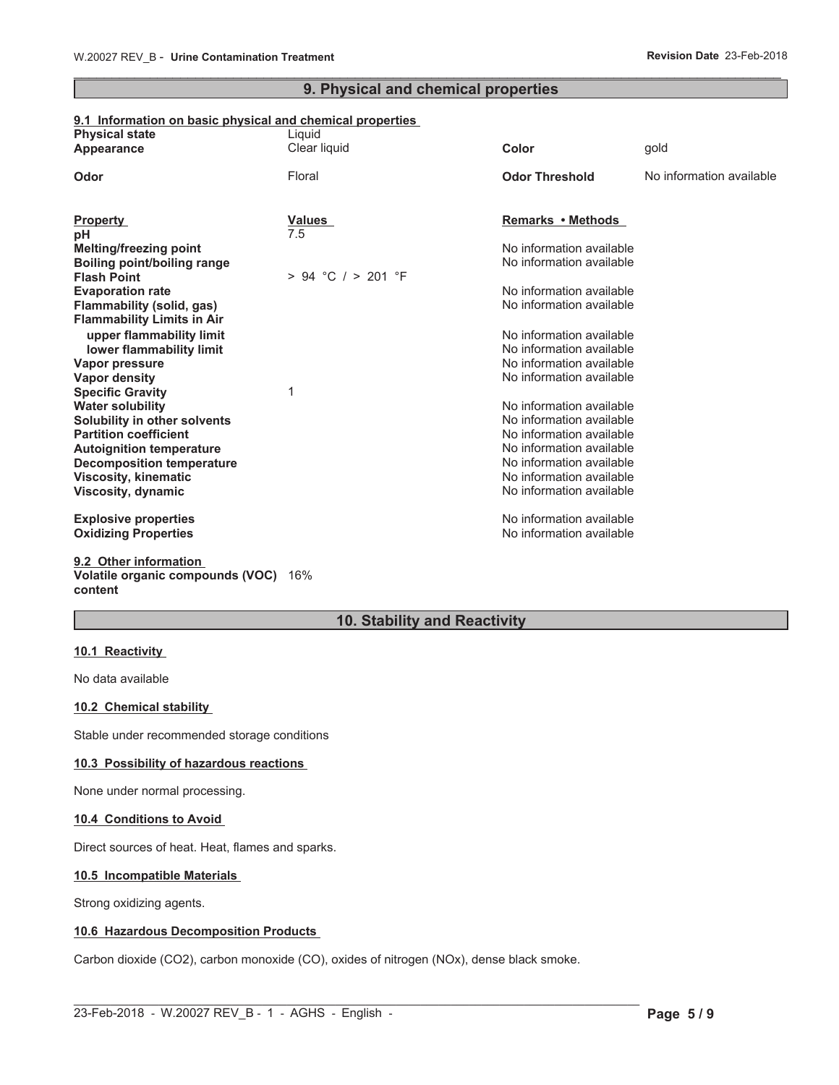### \_\_\_\_\_\_\_\_\_\_\_\_\_\_\_\_\_\_\_\_\_\_\_\_\_\_\_\_\_\_\_\_\_\_\_\_\_\_\_\_\_\_\_\_\_\_\_\_\_\_\_\_\_\_\_\_\_\_\_\_\_\_\_\_\_\_\_\_\_\_\_\_\_\_\_\_\_\_\_\_\_\_\_\_\_\_\_\_\_\_\_\_\_ **9. Physical and chemical properties**

### **9.1 Information on basic physical and chemical properties**

| <b>Physical state</b><br>Appearance                          | Liquid<br>Clear liquid | Color                    | gold                     |
|--------------------------------------------------------------|------------------------|--------------------------|--------------------------|
| Odor                                                         | Floral                 | <b>Odor Threshold</b>    | No information available |
| <b>Property</b>                                              | <b>Values</b>          | Remarks • Methods        |                          |
| рH                                                           | 7.5                    | No information available |                          |
| <b>Melting/freezing point</b><br>Boiling point/boiling range |                        | No information available |                          |
| <b>Flash Point</b>                                           | $> 94$ °C $/ > 201$ °F |                          |                          |
| <b>Evaporation rate</b>                                      |                        | No information available |                          |
| Flammability (solid, gas)                                    |                        | No information available |                          |
| <b>Flammability Limits in Air</b>                            |                        |                          |                          |
| upper flammability limit                                     |                        | No information available |                          |
| lower flammability limit                                     |                        | No information available |                          |
| Vapor pressure                                               |                        | No information available |                          |
| <b>Vapor density</b>                                         |                        | No information available |                          |
| <b>Specific Gravity</b>                                      | 1                      |                          |                          |
| <b>Water solubility</b>                                      |                        | No information available |                          |
| Solubility in other solvents                                 |                        | No information available |                          |
| <b>Partition coefficient</b>                                 |                        | No information available |                          |
| <b>Autoignition temperature</b>                              |                        | No information available |                          |
| <b>Decomposition temperature</b>                             |                        | No information available |                          |
| <b>Viscosity, kinematic</b>                                  |                        | No information available |                          |
| Viscosity, dynamic                                           |                        | No information available |                          |
| <b>Explosive properties</b>                                  |                        | No information available |                          |
| <b>Oxidizing Properties</b>                                  |                        | No information available |                          |
|                                                              |                        |                          |                          |
| 9.2 Other information                                        |                        |                          |                          |
| Volatile organic compounds (VOC)                             | 16%                    |                          |                          |

**content**

## **10. Stability and Reactivity**

### **10.1 Reactivity**

No data available

### **10.2 Chemical stability**

Stable under recommended storage conditions

#### **10.3 Possibility of hazardous reactions**

None under normal processing.

#### **10.4 Conditions to Avoid**

Direct sources of heat. Heat, flames and sparks.

#### **10.5 Incompatible Materials**

Strong oxidizing agents.

### **10.6 Hazardous Decomposition Products**

Carbon dioxide (CO2), carbon monoxide (CO), oxides of nitrogen (NOx), dense black smoke.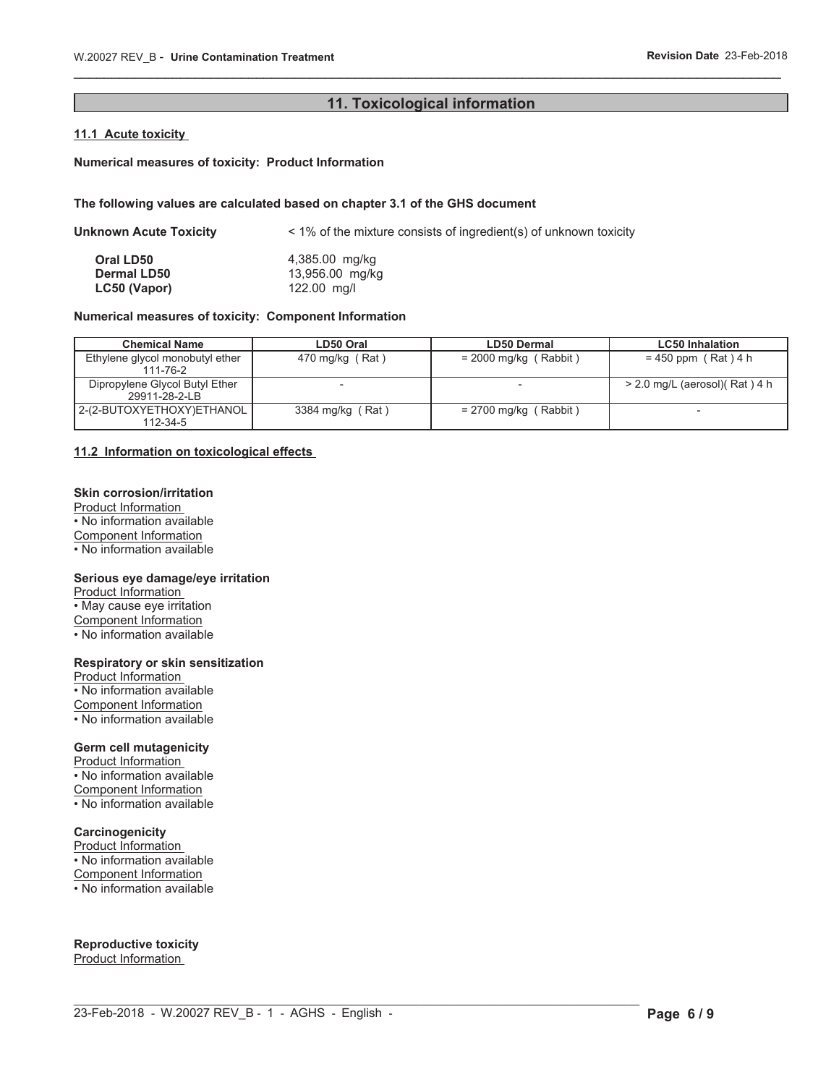### **11. Toxicological information**

\_\_\_\_\_\_\_\_\_\_\_\_\_\_\_\_\_\_\_\_\_\_\_\_\_\_\_\_\_\_\_\_\_\_\_\_\_\_\_\_\_\_\_\_\_\_\_\_\_\_\_\_\_\_\_\_\_\_\_\_\_\_\_\_\_\_\_\_\_\_\_\_\_\_\_\_\_\_\_\_\_\_\_\_\_\_\_\_\_\_\_\_\_

### **11.1 Acute toxicity**

#### **Numerical measures of toxicity: Product Information**

#### **The following values are calculated based on chapter 3.1 of the GHS document**

| Unknown Acute Toxicity | $\leq$ 1% of the mixture consists of ingredient(s) of unknown toxicity |
|------------------------|------------------------------------------------------------------------|
| Oral LD50              | 4,385.00 mg/kg                                                         |
| <b>Dermal LD50</b>     | 13,956.00 mg/kg                                                        |
| LC50 (Vapor)           | 122.00 mg/l                                                            |

### **Numerical measures of toxicity: Component Information**

| <b>Chemical Name</b>            | LD50 Oral        | <b>LD50 Dermal</b>      | <b>LC50 Inhalation</b>          |
|---------------------------------|------------------|-------------------------|---------------------------------|
| Ethylene glycol monobutyl ether | 470 mg/kg (Rat)  | $= 2000$ mg/kg (Rabbit) | $= 450$ ppm (Rat) 4 h           |
| 111-76-2                        |                  |                         |                                 |
| Dipropylene Glycol Butyl Ether  |                  |                         | $>$ 2.0 mg/L (aerosol)(Rat) 4 h |
| 29911-28-2-LB                   |                  |                         |                                 |
| 2-(2-BUTOXYETHOXY)ETHANOL       | 3384 mg/kg (Rat) | $= 2700$ mg/kg (Rabbit) | $\overline{\phantom{a}}$        |
| 112-34-5                        |                  |                         |                                 |

#### **11.2 Information on toxicological effects**

#### **Skin corrosion/irritation**

Product Information • No information available Component Information • No information available

#### **Serious eye damage/eye irritation**

Product Information  $\cdot$  May cause eye irritation Component Information • No information available

### **Respiratory or skin sensitization**

Product Information • No information available Component Information • No information available

#### **Germ cell mutagenicity**

Product Information • No information available Component Information

• No information available

### **Carcinogenicity**

Product Information • No information available Component Information • No information available

**Reproductive toxicity** Product Information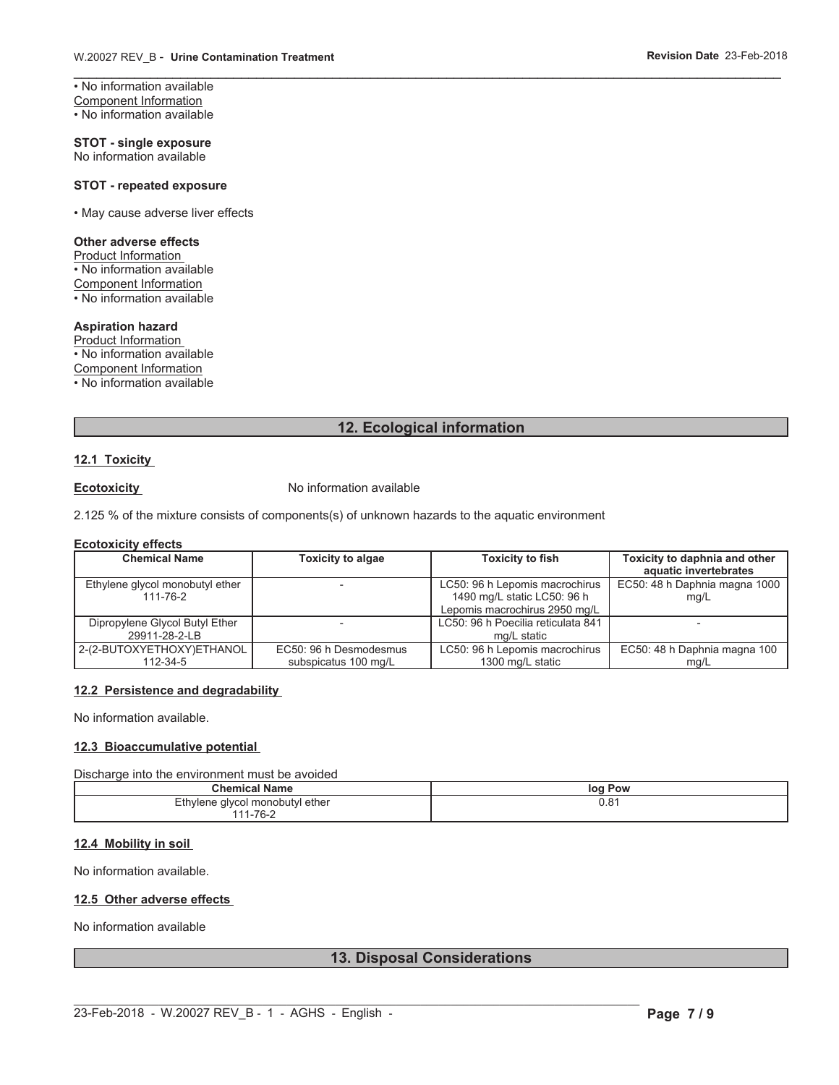\_\_\_\_\_\_\_\_\_\_\_\_\_\_\_\_\_\_\_\_\_\_\_\_\_\_\_\_\_\_\_\_\_\_\_\_\_\_\_\_\_\_\_\_\_\_\_\_\_\_\_\_\_\_\_\_\_\_\_\_\_\_\_\_\_\_\_\_\_\_\_\_\_\_\_\_\_\_\_\_\_\_\_\_\_\_\_\_\_\_\_\_\_ • No information available Component Information • No information available

**STOT - single exposure** No information available

#### **STOT - repeated exposure**

• May cause adverse liver effects

#### **Other adverse effects**

Product Information • No information available Component Information • No information available

### **Aspiration hazard**

Product Information • No information available Component Information • No information available

### **12. Ecological information**

#### **12.1 Toxicity**

**Ecotoxicity** No information available

2.125 % of the mixture consists of components(s) of unknown hazards to the aquatic environment

#### **Ecotoxicity effects**

| <b>Chemical Name</b>            | <b>Toxicity to algae</b> | <b>Toxicity to fish</b>            | Toxicity to daphnia and other |
|---------------------------------|--------------------------|------------------------------------|-------------------------------|
|                                 |                          |                                    | aquatic invertebrates         |
| Ethylene glycol monobutyl ether |                          | LC50: 96 h Lepomis macrochirus     | EC50: 48 h Daphnia magna 1000 |
| 111-76-2                        |                          | 1490 mg/L static LC50: 96 h        | mq/L                          |
|                                 |                          | Lepomis macrochirus 2950 mg/L      |                               |
| Dipropylene Glycol Butyl Ether  |                          | LC50: 96 h Poecilia reticulata 841 |                               |
| 29911-28-2-LB                   |                          | ma/L static                        |                               |
| 2-(2-BUTOXYETHOXY)ETHANOL       | EC50: 96 h Desmodesmus   | LC50: 96 h Lepomis macrochirus     | EC50: 48 h Daphnia magna 100  |
| 112-34-5                        | subspicatus 100 mg/L     | 1300 mg/L static                   | mq/L                          |

#### **12.2 Persistence and degradability**

No information available.

#### **12.3 Bioaccumulative potential**

Discharge into the environment must be avoided

| <b>Chemical Name</b>                                        | Pow<br>log        |
|-------------------------------------------------------------|-------------------|
| Ethylene glycol monobutyl ether<br>$ \cdot$ $\cdot$ $\cdot$ | $\Omega$<br>U.O I |
| l-76-2<br>4 A A                                             |                   |

### **12.4 Mobility in soil**

No information available.

#### **12.5 Other adverse effects**

No information available

### **13. Disposal Considerations**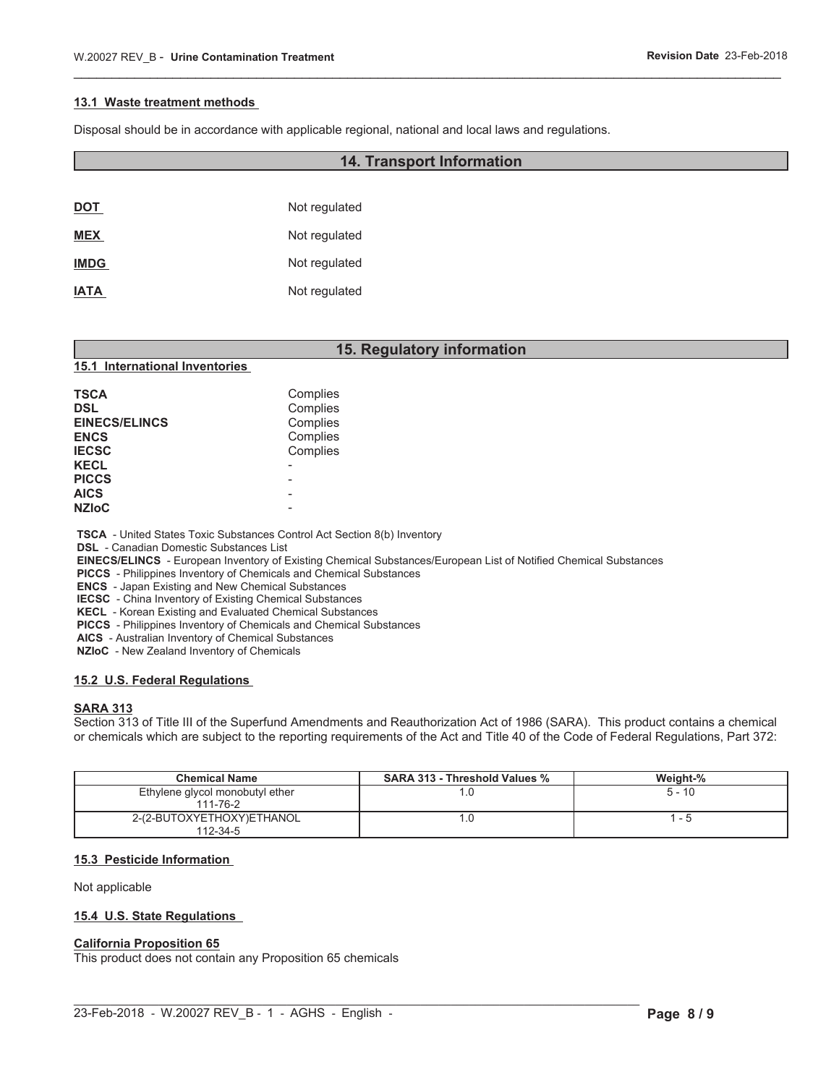#### **13.1 Waste treatment methods**

Disposal should be in accordance with applicable regional, national and local laws and regulations.

| <b>DOT</b>  | Not regulated |
|-------------|---------------|
| <b>MEX</b>  | Not regulated |
| <b>IMDG</b> | Not regulated |
| <b>IATA</b> | Not regulated |

### **15. Regulatory information**

\_\_\_\_\_\_\_\_\_\_\_\_\_\_\_\_\_\_\_\_\_\_\_\_\_\_\_\_\_\_\_\_\_\_\_\_\_\_\_\_\_\_\_\_\_\_\_\_\_\_\_\_\_\_\_\_\_\_\_\_\_\_\_\_\_\_\_\_\_\_\_\_\_\_\_\_\_\_\_\_\_\_\_\_\_\_\_\_\_\_\_\_\_

**14. Transport Information**

#### **15.1 International Inventories**

| <b>TSCA</b><br><b>DSL</b><br><b>EINECS/ELINCS</b><br><b>ENCS</b><br><b>IECSC</b><br><b>KECL</b><br><b>PICCS</b> | Complies<br>Complies<br>Complies<br>Complies<br>Complies |
|-----------------------------------------------------------------------------------------------------------------|----------------------------------------------------------|
| <b>AICS</b><br><b>NZIoC</b>                                                                                     |                                                          |
|                                                                                                                 |                                                          |

 **TSCA** - United States Toxic Substances Control Act Section 8(b) Inventory

 **DSL** - Canadian Domestic Substances List

 **EINECS/ELINCS** - European Inventory of Existing Chemical Substances/European List of Notified Chemical Substances

 $\mathcal{L}_\mathcal{L} = \mathcal{L}_\mathcal{L}$ 

 **PICCS** - Philippines Inventory of Chemicals and Chemical Substances

 **ENCS** - Japan Existing and New Chemical Substances

 **IECSC** - China Inventory of Existing Chemical Substances

 **KECL** - Korean Existing and Evaluated Chemical Substances

 **PICCS** - Philippines Inventory of Chemicals and Chemical Substances

 **AICS** - Australian Inventory of Chemical Substances

 **NZIoC** - New Zealand Inventory of Chemicals

#### **15.2 U.S. Federal Regulations**

### **SARA 313**

Section 313 of Title III of the Superfund Amendments and Reauthorization Act of 1986 (SARA). This product contains a chemical or chemicals which are subject to the reporting requirements of the Act and Title 40 of the Code of Federal Regulations, Part 372:

| <b>Chemical Name</b>                        | <b>SARA 313 - Threshold Values %</b> | Weight-% |
|---------------------------------------------|--------------------------------------|----------|
| Ethylene glycol monobutyl ether<br>111-76-2 |                                      | $5 - 10$ |
| 2-(2-BUTOXYETHOXY)ETHANOL<br>112-34-5       |                                      |          |

#### **15.3 Pesticide Information**

#### Not applicable

#### **15.4 U.S. State Regulations**

#### **California Proposition 65**

This product does not contain any Proposition 65 chemicals